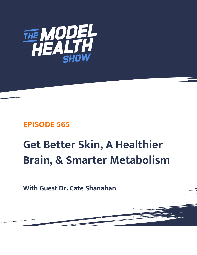

# **EPISODE 565**

# **Get Better Skin, A Healthier Brain, & Smarter Metabolism**

**With Guest Dr. Cate Shanahan**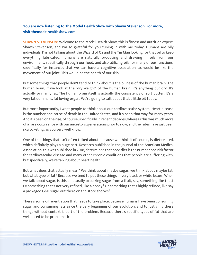## **You are now listening to The Model Health Show with Shawn Stevenson. For more, visit themodelhealthshow.com.**

**SHAWN STEVENSON:** Welcome to the Model Health Show, this is fitness and nutrition expert, Shawn Stevenson, and I'm so grateful for you tuning in with me today. Humans are oily individuals. I'm not talking about the Wizard of Oz and the Tin Man looking for that oil to keep everything lubricated, humans are naturally producing and drawing in oils from our environment, specifically through our food, and also utilizing oils for many of our functions, specifically for instances that we can have a cognitive association to, would be like the movement of our joint. This would be the health of our skin.

But some things that people don't tend to think about is the oiliness of the human brain. The human brain, if we look at the "dry weight" of the human brain, it's anything but dry. It's actually primarily fat. The human brain itself is actually the consistency of soft butter. It's a very fat dominant, fat loving organ. We're going to talk about that a little bit today.

But most importantly, I want people to think about our cardiovascular system. Heart disease is the number one cause of death in the United States, and it's been that way for many years. And it's been on the rise, of course, specifically in recent decades, whereas this was much more of a rare occurrence with our ancestors, generations prior to now, and the rates have just been skyrocketing, as you very well know.

One of the things that isn't often talked about, because we think it of course, is diet-related, which definitely plays a huge part. Research published in the Journal of the American Medical Association, this was published in 2018, determined that poor diet is the number one risk factor for cardiovascular disease and many other chronic conditions that people are suffering with, but specifically, we're talking about heart health.

But what does that actually mean? We think about maybe sugar, we think about maybe fat, but what type of fat? Because we tend to put these things in very black or white boxes. When we talk about sugar, is this a naturally occurring sugar from a fruit, say, something like that? Or something that's not very refined, like a honey? Or something that's highly refined, like say a packaged C&H sugar out there on the store shelves?

There's some differentiation that needs to take place, because humans have been consuming sugar and consuming fats since the very beginning of our evolution, and to just vilify these things without context is part of the problem. Because there's specific types of fat that are well noted to be problematic.

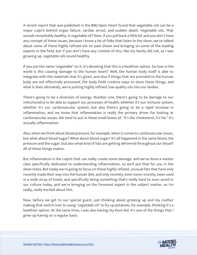A recent report that was published in the BMJ Open Heart found that vegetable oils can be a major culprit behind organ failure, cardiac arrest, and sudden death. Vegetable oils. That sounds remarkably healthy. A vegetable oil? Now, if you pull back a little bit and you don't have any concept of these issues, because I know a lot of folks that listen to the show, we've talked about some of these highly refined oils on past shows and bringing on some of the leading experts in the field, but if you don't have any context of this, like my family did not, as I was growing up, vegetable oils sound healthy.

If you put the name "vegetable" on it, it's denoting that this is a healthier option. So how in the world is this causing damage to the human heart? Well, the human body itself is able to integrate with the materials that it's given, and also if things that are provided to the human body are not effectively processed, the body finds creative ways to store these things, and what it does ultimately, we're putting highly refined, low-quality oils into our bodies.

There's going to be a diversion of energy. Number one, there's going to be damage to our mitochondria to be able to support our processes of health, whether it's our immune system, whether it's our cardiovascular system, but also there's going to be a rapid increase in inflammation, and we know that inflammation is really the primary driver for looking at cardiovascular issues. We tend to put in these small boxes of, "It's the cholesterol, it's fat." It's actually inflammation.

Also, when we think about blood pressure, for example, when it comes to cardiovascular issues, but what about blood sugar? What about blood sugar? It's all happened in the same blood, the pressure and the sugar, but also what kind of fats are getting delivered throughout our blood? All of these things matter.

But inflammation is the culprit that can really create some damage, and we've done a master class specifically dedicated to understanding inflammation, so we'll put that for you in the show notes. But today we're going to focus on these highly refined, unusual fats that have only recently made their way into the human diet, and only recently, even more recently, been used in a wide array of foods, and specifically being something that's really hard to even avoid in our culture today, and we're bringing on the foremost expert in the subject matter, so I'm really, really excited about this.

Now, before we get to our special guest, just thinking about growing up and my mother making that switch over to using "vegetable oil" to fry up potatoes, for example, thinking it's a healthier option. At the same time, I was also having my Kool-Aid. It's one of the things that I grew up having on a regular basis.

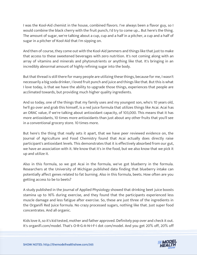I was the Kool-Aid chemist in the house, combined flavors. I've always been a flavor guy, so I would combine the black cherry with the fruit punch, I'd try to come up... But here's the thing. The amount of sugar, we're talking about a cup, cup and a half in a pitcher, a cup and a half of sugar in a pitcher of Kool-Aid that I'm sipping on.

And then of course, they come out with the Kool-Aid Jammers and things like that just to make that access to these sweetened beverages with zero nutrition. It's not coming along with an array of vitamins and minerals and phytonutrients or anything like that. It's bringing in an incredibly abnormal amount of highly refining sugar into the body.

But that thread is still there for many people are utilizing these things, because for me, I wasn't necessarily a big soda drinker, I loved fruit punch and juice and things like that. But this is what I love today, is that we have the ability to upgrade those things, experiences that people are acclimated towards, but providing much higher quality ingredients.

And so today, one of the things that my family uses and my youngest son, who's 10 years old, he'll go over and grab this himself, is a red juice formula that utilizes things like Acai. Acai has an ORAC value, if we're talking about antioxidant capacity, of 103,000. This means that it has more antioxidants, 10 times more antioxidants than just about any other fruits that you'll see in a conventional grocery store. 10 times more.

But here's the thing that really sets it apart, that we have peer reviewed evidence on, the Journal of Agriculture and Food Chemistry found that Acai actually does directly raise participant's antioxidant levels. This demonstrates that it is effectively absorbed from our gut, we have an association with it. We know that it's in the food, but we also know that we pick it up and utilize it.

Also in this formula, so we got Acai in the formula, we've got blueberry in the formula. Researchers at the University of Michigan published data finding that blueberry intake can potentially affect genes related to fat burning. Also in this formula, beets. How often are you getting access to be to beets?

A study published in the Journal of Applied Physiology showed that drinking beet juice boosts stamina up to 16% during exercise, and they found that the participants experienced less muscle damage and less fatigue after exercise. So, these are just three of the ingredients in the Organifi Red Juice formula. No crazy processed sugars, nothing like that. Just super food concentrates. And all organic.

Kids love it, so it's kid tested, mother and father approved. Definitely pop over and check it out. It's organifi.com/model. That's O-R-G-A-N-I-F-I dot com/model. And you get 20% off, 20% off

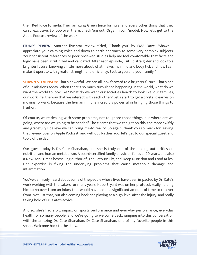their Red Juice formula. Their amazing Green Juice formula, and every other thing that they carry, exclusive. So, pop over there, check 'em out. Organifi.com/model. Now let's get to the Apple Podcast review of the week.

**ITUNES REVIEW:** Another five-star review titled, "Thank you" by EMA Dave. "Shawn, I appreciate your calming voice and down-to-earth approach to some very complex subjects. Your consistent references to peer-reviewed studies help me feel comfortable that facts and logic have been scrutinized and validated. After each episode, I sit up straighter and look to a brighter future, knowing a little more about what makes my mind and body tick and how I can make it operate with greater strength and efficiency. Best to you and your family."

**SHAWN STEVENSON:** That's powerful. We can all look forward to a brighter future. That's one of our missions today. When there's so much turbulence happening in the world, what do we want the world to look like? What do we want our societies health to look like, our families, our work life, the way that we interact with each other? Let's start to get a crystal-clear vision moving forward, because the human mind is incredibly powerful in bringing those things to fruition.

Of course, we're dealing with some problems, not to ignore those things, but where are we going, where are we going to be headed? The clearer that we can get on this, the more swiftly and gracefully I believe we can bring it into reality. So again, thank you so much for leaving that review over on Apple Podcast, and without further ado, let's get to our special guest and topic of the day.

Our guest today is Dr. Cate Shanahan, and she is truly one of the leading authorities on nutrition and human metabolism. A board-certified family physician for over 20 years, and also a New York Times bestselling author of, The Fatburn Fix, and Deep Nutrition and Food Rules. Her expertise is fixing the underlying problems that cause metabolic damage and inflammation.

You've definitely heard about some of the people whose lives have been impacted by Dr. Cate's work working with the Lakers for many years. Kobe Bryant was on her protocol, really helping him to recover from an injury that would have taken a significant amount of time to recover from. Not just that, but also coming back and playing at a high-level after the injury, and really taking hold of Dr. Cate's advice.

And so, she's had a big impact on sports performance and everyday performance, everyday health for so many people, and we're going to welcome back, jumping into this conversation with the amazing Dr. Cate Shanahan. Dr Cate Shanahan, one of my favorite people in this space. Welcome back to the show.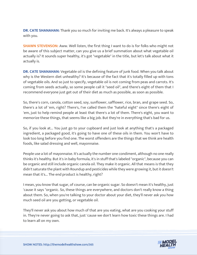**DR. CATE SHANAHAN:** Thank you so much for inviting me back. It's always a pleasure to speak with you.

**SHAWN STEVENSON:** Aww. Well listen, the first thing I want to do is for folks who might not be aware of this subject matter, can you give us a brief summation about what vegetable oil actually is? It sounds super healthy, it's got "vegetable" in the title, but let's talk about what it actually is.

**DR. CATE SHANAHAN:** Vegetable oil is the defining feature of junk food. When you talk about why is the Western diet unhealthy? It's because of the fact that it's totally filled up with tons of vegetable oils. And so just to specify, vegetable oil is not coming from peas and carrots. It's coming from seeds actually, so some people call it "seed oil", and there's eight of them that I recommend everyone just get out of their diet as much as possible, as soon as possible.

So, there's corn, canola, cotton seed, soy, sunflower, safflower, rice, bran, and grape seed. So, there's a lot of 'em, right? There's, I've called them the "hateful eight" since there's eight of 'em, just to help remind people at least that there's a lot of them. There's eight, you want to memorize these things, that seems like a big job. But they're in everything that's bad for us.

So, if you look at... You just go to your cupboard and just look at anything that's a packaged ingredient, a packaged good, it's going to have one of these oils in them. You won't have to look too long before you find one. The worst offenders are the things that we think are health foods, like salad dressing and well, mayonnaise.

People use a lot of mayonnaise. It's actually the number one condiment, although no one really thinks it's healthy. But it's in baby formula, it's in stuff that's labeled "organic", because you can be organic and still include organic canola oil. They make it organic. All that means is that they didn't saturate the plant with Roundup and pesticides while they were growing it, but it doesn't mean that it's... The end product is healthy, right?

I mean, you know that sugar, of course, can be organic sugar. So doesn't mean it's healthy, just 'cause it says "organic. So, these things are everywhere, and doctors don't really know a thing about them. So, when you're talking to your doctor about your diet, they'll never ask you how much seed oil are you getting, or vegetable oil.

They'll never ask you about how much of that are you eating, what are you cooking your stuff in. They're never going to ask that, just 'cause we don't learn how toxic these things are. I had to learn all on my own.

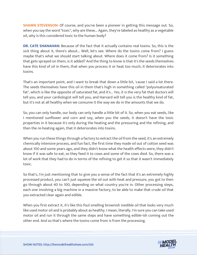**SHAWN STEVENSON:** Of course, and you've been a pioneer in getting this message out. So, when you say the word "toxic", why are these... Again, they're labeled as healthy as a vegetable oil, why is this considered toxic to the human body?

**DR. CATE SHANAHAN:** Because of the fact that it actually contains real toxins. So, this is the sick thing about it, there's about... Well, let's see. Where do the toxins come from? I guess maybe that's what we should start talking about. Where does it come from? Is it something that gets sprayed on them, is it added? And the thing to know is that it's the seeds themselves have this kind of oil in them, that when you process it or heat too much, it deteriorates into toxins.

That's an important point, and I want to break that down a little bit, 'cause I said a lot there. The seeds themselves have this oil in them that's high in something called "polyunsaturated fat", which is like the opposite of saturated fat, and it's... Yes, it is the very fat that doctors will tell you, and your cardiologist will tell you, and Harvard will tell you is the healthy kind of fat, but it's not at all healthy when we consume it the way we do in the amounts that we do.

So, you can only handle, our body can only handle a little bit of it. So, when you eat seeds, like I mentioned sunflower and corn and soy, when you the seeds, it doesn't have the toxic properties in it because it's only during the heating and the pressuring and the refining, and then the re-heating again, that it deteriorates into toxins.

When you run these things through a factory to extract the oil from the seed, it's an extremely chemically intensive process, and fun fact, the first time they made oil out of cotton seed was about 100 and some years ago, and they didn't know what the health effects were, they didn't know if it was safe to eat, so they feed it to cows and some of the cows died. So, there was a lot of work that they had to do in terms of the refining to get it so that it wasn't immediately toxic.

So that's, I'm just mentioning that to give you a sense of the fact that it's an extremely highly processed product, you can't just squeeze the oil out with heat and pressure, you got to then go through about 40 to 100, depending on what country you're in. Other processing steps, each one involving a big machine in a massive factory, to be able to make that crude oil that you extracted clear again and edible.

When you first extract it, it's like this foul smelling brownish inedible oil that looks very much like used motor oil and is probably about as healthy. I mean, literally. I'm sure you can take used motor oil and run it through the same steps and have something edible-ish coming out the other end. And so that's where the toxins come from is from the processing.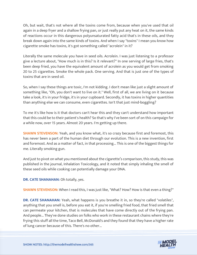Oh, but wait, that's not where all the toxins come from, because when you've used that oil again in a deep fryer and a shallow frying pan, or just really put any heat on it, the same kinds of reactions occur in this dangerous polyunsaturated fatty acid that's in these oils, and they break down again into the same kinds of toxins. And when I say "toxins" I mean you know how cigarette smoke has toxins, it's got something called "acrolein" in it?

Literally the same molecule you have in seed oils. Acrolein. I was just listening to a professor give a lecture about, "How much is in this? Is it relevant?" In one serving of large fries, that's been deep fried, you have the equivalent amount of acrolein as you would get from smoking 20 to 25 cigarettes. Smoke the whole pack. One serving. And that is just one of the types of toxins that are in seed oil.

So, when I say these things are toxic, I'm not kidding. I don't mean like just a slight amount of something like, "Oh, you don't want to live on it." Well, first of all, we are living on it because take a look, it's in your fridge, it's in your cupboard. Secondly, it has toxins in higher quantities than anything else we can consume, even cigarettes. Isn't that just mind-boggling?

To me it's like how is it that doctors can't hear this and they can't understand how important that this could be to their patient's health? So that's why I've been sort of on this campaign for a while now, over 15 years. Almost 20 years. I'm getting up there.

**SHAWN STEVENSON:** Yeah, and you know what, it's so crazy because first and foremost, this has never been a part of the human diet through our evolution. This is a new invention, first and foremost. And as a matter of fact, in that processing... This is one of the biggest things for me. Literally smoking gun.

And just to pivot on what you mentioned about the cigarette's comparison, this study, this was published in the journal, Inhalation Toxicology, and it noted that simply inhaling the smell of these seed oils while cooking can potentially damage your DNA.

**DR. CATE SHANAHAN:** Oh totally, yes.

**SHAWN STEVENSON:** When I read this, I was just like, "What? How? How is that even a thing?"

**DR. CATE SHANAHAN:** Yeah, what happens is you breathe it in, so they're called "volatiles", anything that you smell is, before you eat it, if you're smelling fried food, that fried smell that can permeate your kitchen, that is molecules that have come directly out of the frying pan. And people... They've done studies on folks who work in these restaurant chains where they're frying this stuff all the time, Taco Bell, McDonald's and they found that they have a higher rate of lung cancer because of this. There's no other...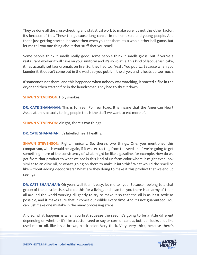They've done all the cross-checking and statistical work to make sure it's not this other factor. It's because of this. These things cause lung cancer in non-smokers and young people. And that's just getting started, because then when you eat them it's a whole other ball game. But let me tell you one thing about that stuff that you smell.

Some people think it smells really good, some people think it smells gross, but if you're a restaurant worker it will cake on your uniform and it's so volatile, this kind of lacquer-ish cake, it has actually set laundromats on fire. So, they had to... Yeah. You put it... Because when you launder it, it doesn't come out in the wash, so you put it in the dryer, and it heats up too much.

If someone's not there, and this happened when nobody was watching, it started a fire in the dryer and then started fire in the laundromat. They had to shut it down.

**SHAWN STEVENSON:** Holy smokes.

**DR. CATE SHANAHAN:** This is for real. For real toxic. It is insane that the American Heart Association is actually telling people this is the stuff we want to eat more of.

**SHAWN STEVENSON:** Alright, there's two things...

**DR. CATE SHANAHAN:** It's labelled heart healthy.

**SHAWN STEVENSON:** Right, ironically. So, there's two things. One, you mentioned this comparison, which would be, again, if it was extracting from the seed itself, we're going to get something more of the consistency of what might be like a gasoline, for example. How do we get from that product to what we see is this kind of uniform color where it might even look similar to an olive oil, or what's going on there to make it into this? What would the smell be like without adding deodorizers? What are they doing to make it this product that we end up seeing?

**DR. CATE SHANAHAN:** Oh yeah, well it ain't easy, let me tell you. Because I belong to a chat group of the oil scientists who do this for a living, and I can tell you there is an army of them all around the world working diligently to try to make it so that the oil is as least toxic as possible, and it makes sure that it comes out edible every time. And it's not guaranteed. You can just make one mistake in the many processing steps.

And so, what happens is when you first squeeze the seed, it's going to be a little different depending on whether it's like a cotton seed or soy or corn or canola, but it all looks a lot like used motor oil, like it's a brown, black color. Very thick. Very, very thick, because there's

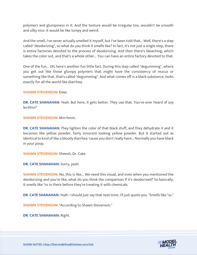polymers and glumpiness in it. And the texture would be irregular too, wouldn't be smooth and silky nice. It would be like lumpy and weird.

And the smell, I've never actually smelled it myself, but I've been told that... Well, there's a step called "deodorizing", so what do you think it smells like? In fact, it's not just a single step, there is entire factories devoted to the process of deodorizing. And then there's bleaching, which takes the color out, and that's a whole other... You can have an entire factory devoted to that.

One of the fun... Oh, here's another fun little fact. During this step called "degumming", where you get out like those glumpy polymers that might have the consistency of mucus or something like that, that's called "degumming". And what comes off is a black substance, looks exactly for all the world like diarrhea.

#### **SHAWN STEVENSON:** Eww.

**DR. CATE SHANAHAN:** Yeah. But here, it gets better. They use that. You've ever heard of soy lecithin?

**SHAWN STEVENSON:** Mm-hmm.

**DR. CATE SHANAHAN:** They lighten the color of that black stuff, and they dehydrate it and it becomes like yellow powder, fairly innocent looking yellow powder. But it started out as identical to kind of like a bloody diarrhea 'cause you don't really have... Normally you have black in your poop.

**SHAWN STEVENSON:** Sheesh, Dr. Cate.

**DR. CATE SHANAHAN:** Sorry, yeah.

**SHAWN STEVENSON:** No, this is like... We need this visual, and even when you mentioned the deodorizing and you're like, what do you think the comparison if it's deodorized? So basically, it smells like \*ss in there before they're treating it with chemicals.

**DR. CATE SHANAHAN:** Yeah. I should just say that next time. I'll just quote you. "Smells like \*ss."

**SHAWN STEVENSON: "According to Shawn Stevenson."** 

**DR. CATE SHANAHAN:** Right.

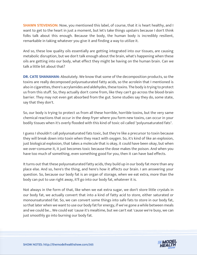**SHAWN STEVENSON:** Now, you mentioned this label, of course, that it is heart healthy, and I want to get to the heart in just a moment, but let's take things upstairs because I don't think folks talk about this enough. Because the body, the human body is incredibly resilient, remarkable in taking whatever you give it and finding a way to utilize it.

And so, these low quality oils essentially are getting integrated into our tissues, are causing metabolic disruption, but we don't talk enough about the brain, what's happening when these oils are getting into our body, what effect they might be having on the human brain. Can we talk a little bit about that?

**DR. CATE SHANAHAN:** Absolutely. We know that some of the decomposition products, so the toxins are really decomposed polyunsaturated fatty acids, so the acrolein that I mentioned is also in cigarettes, there's acrylamides and aldehydes, these toxins. The body is trying to protect us from this stuff. So, they actually don't come from, like they can't go across the blood-brain barrier. They may not even get absorbed from the gut. Some studies say they do, some state, say that they don't.

So, our body is trying to protect us from all these horrible, horrible toxins, but the very same chemical reactions that occur in the deep fryer where you form new toxins, can occur in your bodily tissues when it's overly flooded with this kind of toxic oil called "polyunsaturated fats".

I guess I shouldn't call polyunsaturated fats toxic, but they're like a precursor to toxin because they will break down into toxin when they react with oxygen. So, it's kind of like an explosion, just biological explosion, that takes a molecule that is okay, it could have been okay, but when we over-consume it, it just becomes toxic because the dose makes the poison. And when you have too much of something, even something good for you, then it can have bad effects.

It turns out that these polyunsaturated fatty acids, they build up in our body fat more than any place else. And so, here's the thing, and here's how it affects our brain. I am answering your question. So, because our body fat is an organ of storage, when we eat extra, more than the body can put to use right away, it'll go into our body fat, whatever it is.

Not always in the form of that, like when we eat extra sugar, we don't store little crystals in our body fat, we actually convert that into a kind of fatty acid to store, either saturated or monounsaturated fat. So, we can convert some things into safe fats to store in our body fat, so that later when we want to use our body fat for energy, if we've gone a while between meals and we could be... We could eat 'cause it's mealtime, but we can't eat 'cause we're busy, we can just smoothly go into burning our body fat.

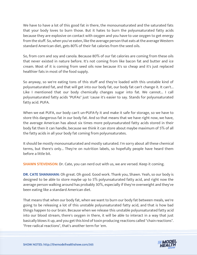We have to have a lot of this good fat in there, the monounsaturated and the saturated fats that your body loves to burn those. But it hates to burn the polyunsaturated fatty acids because they are explosive on contact with oxygen and you have to use oxygen to get energy from the stuff. So, when you've eaten, like the average person that eats at the average Western standard American diet, gets 80% of their fat calories from the seed oils.

So, from corn and soy and canola. Because 80% of our fat calories are coming from these oils that never existed in nature before. It's not coming from like bacon fat and butter and ice cream. Most of it is coming from seed oils now because it's so cheap and it's just replaced healthier fats in most of the food supply.

So anyway, so we're eating tons of this stuff and they're loaded with this unstable kind of polyunsaturated fat, and that will get into our body fat, our body fat can't change it. It can't... Like I mentioned that our body chemically changes sugar into fat. We cannot... I call polyunsaturated fatty acids "PUFAs" just 'cause it's easier to say. Stands for polyunsaturated fatty acid. PUFA.

When we eat PUFA, our body can't un-PUFA-fy it and make it safe for storage, so we have to store this dangerous fat in our body fat. And so that means that we have right now, we have, the average American has about six times more polyunsaturated fatty acids stored in their body fat then it can handle, because we think it can store about maybe maximum of 5% of all the fatty acids in all your body fat coming from polyunsaturates.

It should be mostly monounsaturated and mostly saturated. I'm sorry about all these chemical terms, but there's only... They're on nutrition labels, so hopefully people have heard them before a little bit.

**SHAWN STEVENSON:** Dr. Cate, you can nerd out with us, we are versed. Keep it coming.

**DR. CATE SHANAHAN:** Oh great. Oh good. Good work. Thank you, Shawn. Yeah, so our body is designed to be able to store maybe up to 5% polyunsaturated fatty acid, and right now the average person walking around has probably 30%, especially if they're overweight and they've been eating like a standard American diet.

That means that when our body fat, when we want to burn our body fat between meals, we're going to be releasing a lot of this unstable polyunsaturated fatty acid, and that is how bad things happen to our brain. Because when we release this unstable polyunsaturated fatty acid into our blood stream, there's oxygen in there, it will be able to interact in a way that just basically blows it up, and you get this kind of toxin producing reactions called "chain reactions". "Free radical reactions", that's another term for 'em.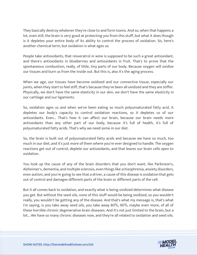They basically destroy whatever they're close to and form toxins. And so, when that happens a lot, even still, the brain is very good at protecting you from this stuff, but what it does though is it depletes your entire body of its ability to control the process of oxidation. So, here's another chemical term, but oxidation is what ages us.

People take antioxidants, that resveratrol in wine is supposed to be such a great antioxidant, and there's antioxidants in blueberries and antioxidants in fruit. That's to prove that the spontaneous combustion, really, of little, tiny parts of our body. Because oxygen will oxidize our tissues and burn us from the inside out. But this is, also it's the aging process.

When we age, our tissues have become oxidized and our connective tissue, especially our joints, when they start to feel stiff, that's because they've been all oxidized and they are stiffer. Physically, we don't have the same elasticity in our skin, we don't have the same elasticity in our cartilage and our ligaments.

So, oxidation ages us and when we've been eating so much polyunsaturated fatty acid, it depletes our body's capacity to control oxidation reactions, so it depletes us of our antioxidants. Even... That's how it can affect our brain, because our brain needs more antioxidants than any other part of our body, because it's full of health, it's full of polyunsaturated fatty acids. That's why we need some in our diet.

So, the brain is built out of polyunsaturated fatty acids and because we have so much, too much in our diet, and it's just more of them where you're ever designed to handle. The oxygen reactions get out of control, deplete our antioxidants, and that leaves our brain cells open to oxidation.

You look up the cause of any of the brain disorders that you don't want, like Parkinson's, Alzheimer's, dementia, and multiple sclerosis, even things like schizophrenia, anxiety disorders, even autism, and you're going to see that a driver, a cause of this disease is oxidation that gets out of control and damages different parts of the brain or different parts of the cell.

But it all comes back to oxidation, and exactly what is being oxidized determines what disease you get. But without the seed oils, none of this stuff would be being oxidized, so you wouldn't really, you wouldn't be getting any of the disease. And that's what my message is, that's what I'm saying, is you take away seed oils, you take away 80%, 90%, maybe even more, of all of these horrible chronic degenerative brain diseases. And it's not just limited to the brain, but a lot... We have so many chronic diseases now, and they're all related to oxidation and seed oils.

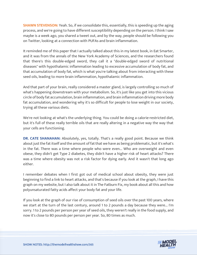**SHAWN STEVENSON:** Yeah. So, if we consolidate this, essentially, this is speeding up the aging process, and we're going to have different susceptibility depending on the person. I think I saw maybe is a week ago, you shared a tweet out, and by the way, people should be following you on Twitter, looking at a connection with PUFAs and brain inflammation.

It reminded me of this paper that I actually talked about this in my latest book, in Eat Smarter, and it was from the annals of the New York Academy of Sciences, and the researchers found that there's this double-edged sword, they call it a "double-edged sword of nutritional diseases" with hypothalamic inflammation leading to excessive accumulation of body fat, and that accumulation of body fat, which is what you're talking about from interacting with these seed oils, leading to more brain inflammation, hypothalamic inflammation.

And that part of your brain, really considered a master gland, is largely controlling so much of what's happening downstream with your metabolism. So, it's just like you get into this vicious circle of body fat accumulation, brain inflammation, and brain inflammation driving more body fat accumulation, and wondering why it's so difficult for people to lose weight in our society, trying all these various diets.

We're not looking at what's the underlying thing. You could be doing a calorie-restricted diet, but it's full of these really terrible oils that are really altering in a negative way the way that your cells are functioning.

**DR. CATE SHANAHAN:** Absolutely, yes, totally. That's a really good point. Because we think about just the fat itself and the amount of fat that we have as being problematic, but it's what's in the fat. There was a time where people who were even... Who are overweight and even obese, they didn't get Type 2 diabetes, they didn't have a higher risk of heart attacks? There was a time where obesity was not a risk factor for dying early. And it wasn't that long ago either.

I remember debates when I first got out of medical school about obesity, they were just beginning to find a link to heart attacks, and that's because if you look at the graph, I have this graph on my website, but I also talk about it in The Fatburn Fix, my book about all this and how polyunsaturated fatty acids affect your body fat and your life.

If you look at the graph of our rise of consumption of seed oils over the past 100 years, where we start at the turn of the last century, around 1 to 2 pounds a day because they were... I'm sorry. 1 to 2 pounds per person per year of seed oils, they weren't really in the food supply, and now it's close to 80 pounds per person per year. So, 80 times as much.

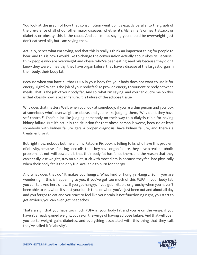You look at the graph of how that consumption went up, it's exactly parallel to the graph of the prevalence of all of our other major diseases, whether it's Alzheimer's or heart attacks or diabetes or obesity, this is the cause. And so, I'm not saying you should be overweight, just don't eat seed oils, but I am saying that...

Actually, here's what I'm saying, and that this is really, I think an important thing for people to hear, and this is how I would like to change the conversation actually about obesity. Because I think people who are overweight and obese, who've been eating seed oils because they didn't know they were unhealthy, they have organ failure, they have a disease of the largest organ in their body, their body fat.

Because when you have all that PUFA in your body fat, your body does not want to use it for energy, right? What is the job of your body fat? To provide energy to your entire body between meals. That is the job of your body fat. And so, what I'm saying, and you can quote me on this, is that obesity now is organ failure, it is failure of the adipose tissue.

Why does that matter? Well, when you look at somebody, if you're a thin person and you look at somebody who's overweight or obese, and you're like judging them, "Why don't they have self-control?" That's a lot like judging somebody on their way to a dialysis clinic for having kidney failure. But it's actually the situation for that obese person is worse, because at least somebody with kidney failure gets a proper diagnosis, have kidney failure, and there's a treatment for it.

But right now, nobody but me and my Fatburn Fix book is telling folks who have this problem of obesity, because of eating seed oils, that they have organ failure, they have a real metabolic problem. It's not, will power, it is that their body fat has failed them, and the reason that they can't easily lose weight, stay on a diet, stick with most diets, is because they feel bad physically when their body fat is the only fuel available to burn for energy.

And what does that do? It makes you hungry. What kind of hungry? Hangry. So, if you are wondering, if this is happening to you, if you've got too much of this PUFA in your body fat, you can tell. And here's how. If you get hangry, if you get irritable or grouchy when you haven't been able to eat, when it's past your lunch time or when you've just been out and about all day and you forgot to eat and you start to feel like your brain is not functioning right, you start to get anxious, you can even get headaches.

That's a sign that you have too much PUFA in your body fat and you're on the verge, if you haven't already gained weight, you're on the verge of having adipose failure. And that will open you up to weight gain, diabetes, and everything associated with this thing that they call, they've called it "diabesity".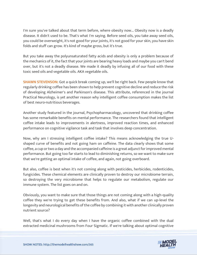I'm sure you've talked about that term before, where obesity now... Obesity now is a deadly disease. It didn't used to be. That's what I'm saying. Before seed oils, you take away seed oils, you could be overweight, it's not good for your joints, it's not good for your skin, you have skin folds and stuff can grow. It's kind of maybe gross, but it's true.

But you take away the polyunsaturated fatty acids and obesity is only a problem because of the mechanics of it, the fact that your joints are bearing heavy loads and maybe you can't bend over, but it's not a deadly disease. We made it deadly by infusing all of our food with these toxic seed oils and vegetable oils. AKA vegetable oils.

**SHAWN STEVENSON:** Got a quick break coming up, we'll be right back. Few people know that regularly drinking coffee has been shown to help prevent cognitive decline and reduce the risk of developing Alzheimer's and Parkinson's disease. This attribute, referenced in the journal Practical Neurology, is yet another reason why intelligent coffee consumption makes the list of best neuro-nutritious beverages.

Another study featured in the journal, Psychopharmacology, uncovered that drinking coffee has some remarkable benefits on mental performance. The researchers found that intelligent coffee intake leads to improvements in alertness, improved reaction times, and enhanced performance on cognitive vigilance task and task that involves deep concentration.

Now, why am I stressing intelligent coffee intake? This means acknowledging the true Ushaped curve of benefits and not going ham on caffeine. The data clearly shows that some coffee, a cup or two a day and the accompanied caffeine is a great adjunct for improved mental performance. But going too far starts to lead to diminishing returns, so we want to make sure that we're getting an optimal intake of coffee, and again, not going overboard.

But also, coffee is best when it's not coming along with pesticides, herbicides, rodenticides, fungicides. These chemical elements are clinically proven to destroy our microbiome terrain, so destroying the very microbiome that helps to regulate our metabolism, regulate our immune system. The list goes on and on.

Obviously, you want to make sure that those things are not coming along with a high-quality coffee they we're trying to get these benefits from. And also, what if we can up-level the longevity and neurological benefits of the coffee by combining it with another clinically proven nutrient source?

Well, that's what I do every day when I have the organic coffee combined with the dual extracted medicinal mushrooms from Four Sigmatic. If we're talking about optimal cognitive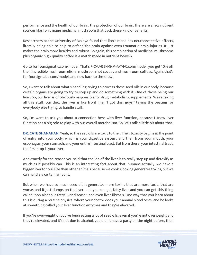performance and the health of our brain, the protection of our brain, there are a few nutrient sources like lion's mane medicinal mushroom that pack these kind of benefits.

Researchers at the University of Malaya found that lion's mane has neuroprotective effects, literally being able to help to defend the brain against even traumatic brain injuries. It just makes the brain more healthy and robust. So again, this combination of medicinal mushrooms plus organic high-quality coffee is a match made in nutrient heaven.

Go to for foursigmatic.com/model. That's F-O-U-R S-I-G-M-A-T-I-C.com/model, you get 10% off their incredible mushroom elixirs, mushroom hot cocoas and mushroom coffees. Again, that's for foursigmatic.com/model, and now back to the show.

So, I want to talk about what's handling trying to process these seed oils in our body, because certain organs are going to try to step up and do something with it. One of those being our liver. So, our liver is of obviously responsible for drug metabolism, supplements. We're taking all this stuff, our diet, the liver is like front line, "I got this, guys," taking the beating for everybody else trying to handle stuff.

So, I'm want to ask you about a connection here with liver function, because I know liver function has a big role to play with our overall metabolism. So, let's talk a little bit about that.

**DR. CATE SHANAHAN:** Yeah, so the seed oils are toxic to the... Their toxicity begins at the point of entry into your body, which is your digestive system, and then from your mouth, your esophagus, your stomach, and your entire intestinal tract. But from there, your intestinal tract, the first stop is your liver.

And exactly for the reason you said that the job of the liver is to really step up and detoxify as much as it possibly can. This is an interesting fact about that, humans actually, we have a bigger liver for our size than other animals because we cook. Cooking generates toxins, but we can handle a certain amount.

But when we have so much seed oil, it generates more toxins that are more toxic, that are worse, and it just dumps on the liver, and you can get fatty liver and you can get this thing called "non-alcoholic fatty liver disease", and even liver fibrosis. One way that you learn about this is during a routine physical where your doctor does your annual blood tests, and he looks at something called your liver function enzymes and they're elevated.

If you're overweight or you've been eating a lot of seed oils, even if you're not overweight and they're elevated, and it's not due to alcohol, you didn't have a party on the night before, then

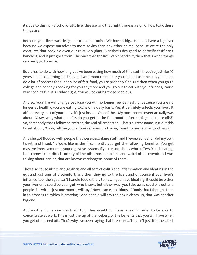it's due to this non-alcoholic fatty liver disease, and that right there is a sign of how toxic these things are.

Because your liver was designed to handle toxins. We have a big... Humans have a big liver because we expose ourselves to more toxins than any other animal because we're the only creatures that cook. So even our relatively giant liver that's designed to detoxify stuff can't handle it, and it just goes from. The ones that the liver can't handle it, then that's when things can really go haywire.

But it has to do with how long you've been eating how much of this stuff. If you're just like 10 years old or something like that, and your mom cooked for you, did not use the oils, you didn't do a lot of process food, not a lot of fast food, you're probably fine. But then when you go to college and nobody's cooking for you anymore and you go out to eat with your friends, 'cause why not? It's fun, it's Friday night. You will be eating these seed oils.

And so, your life will change because you will no longer feel as healthy, because you are no longer as healthy, you are eating toxins on a daily basis. Yes, it definitely affects your liver. It affects every part of your body, it's just insane. One of the... My most recent tweet actually was about, "Okay, well, what benefits do you get in the first month after cutting out these oils?" So, somebody that I follow on twitter, the real oil respecter... That's a great name. Put out this tweet about, "Okay, tell me your success stories. It's Friday, I want to hear some good news."

And she got flooded with people that were describing stuff, and I reviewed it and I did my own tweet, and I said, "It looks like in the first month, you get the following benefits. You get massive improvement in your digestive system. If you're somebody who suffers from bloating, that comes from direct toxicity of the oils, those acroleins and weird other chemicals I was talking about earlier, that are known carcinogens, some of them."

They also cause ulcers and gastritis and all sort of colitis and inflammation and bloating in the gut and just tons of discomfort, and then they go to the liver, and of course if your liver's inflamed too, then you can't handle food either. So, it's, if you have bloating, it could be either your liver or it could be your gut, who knows, but either way, you take away seed oils out and people like within just one month, will say, "Now I can eat all kinds of foods that I thought I had in tolerances to, which is amazing." And people will say their skin clears up, that was another big one.

And another huge one was brain fog. They would not have to eat in order to be able to concentrate at work. This is just the tip of the iceberg of the benefits that you will have when you get off of seed oils. That's why I've been saying that these are... This isn't just like the latest

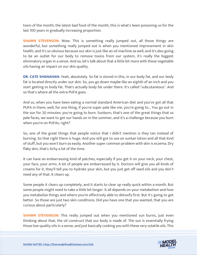toxin of the month, the latest bad food of the month, this is what's been poisoning us for the last 100 years in gradually increasing proportion.

**SHAWN STEVENSON:** Wow. This is something really jumped out, all those things are wonderful, but something really jumped out is when you mentioned improvement in skin health, and it's so obvious because our skin is just like an oil machine as well, and it's also going to be an outlet for our body to remove toxins from our system, it's really the biggest eliminatory organ in a sense. And so, let's talk about that a little bit more with these vegetable oils having an impact on our skin quality.

**DR. CATE SHANAHAN:** Yeah, absolutely. So fat is stored in this, in our body fat, and our body fat is located directly under our skin. So, you go down maybe like an eighth of an inch and you start getting to body fat. That's actually body fat under there. It's called "subcutaneous". And so that's where all the extra PUFA goes.

And so, when you have been eating a normal standard American diet and you've got all that PUFA in there, well, for one thing, if you're super pale like me, you're going to... You go out in the sun for 20 minutes; you're going to burn. Sunburn, that's one of the great things that us pale faces, we want to get our hands on in the summer, and it's a challenge because you burn when you're on PUFAs, right?

So, one of the great things that people notice that I didn't mention is they tan instead of burning. So that right there is huge. And you still got to use on suntan lotion and all that kind of stuff, but you won't burn as easily. Another super common problem with skin is eczema. Dry flaky skin, that's itchy a lot of the time.

It can have an embarrassing kind of patches, especially if you get it on your neck, your chest, your face, your arms. A lot of people are embarrassed by it. Doctors will give you all kinds of creams for it, they'll tell you to hydrate your skin, but you just get off seed oils and you don't need any of that. It clears up.

Some people it clears up completely, and it starts to clear up really quick within a month. But some people might need to take a little bit longer. It all depends on your metabolism and how you metabolize things and where you're effectively able to detoxify first. But it's going to get better. So those are just two skin conditions. Did you have one that you wanted, that you are curious about particularly?

**SHAWN STEVENSON:** This really jumped out when you mentioned sun burns, just even thinking about that, the oil construct that our body is made of. The sun is essentially frying those low-quality oils in a sense, and just basically cooking you with these very volatile oils. This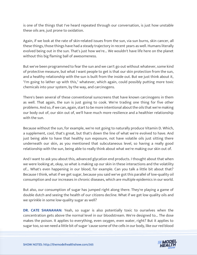is one of the things that I've heard repeated through our conversation, is just how unstable these oils are, just prone to oxidation.

Again, if we look at the rate of skin-related issues from the sun, via sun burns, skin cancer, all these things, those things have had a steady trajectory in recent years as well. Humans literally evolved being out in the sun. That's just how we're... We wouldn't have life here on the planet without this big flaming ball of awesomeness.

But we've been programmed to fear the sun and we can't go out without whatever, some kind of protective measure, but what I want people to get is that our skin protection from the sun, and a healthy relationship with the sun is built from the inside out. But we just think about it, "I'm going to lather up with this," whatever, which again, could possibly putting more toxic chemicals into your system, by the way, and carcinogens.

There's been several of these conventional sunscreens that have known carcinogens in them as well. That again, the sun is just going to cook. We're trading one thing for five other problems. And so, if we can, again, start to be more intentional about the oils that we're making our body out of, our skin out of, we'll have much more resilience and a healthier relationship with the sun.

Because without the sun, for example, we're not going to naturally produce Vitamin D. Which, a supplement, cool, that's great, but that's down the line of what we're evolved to have. And just being able to have that healthy sun exposure, not have volatile oils just sitting there underneath our skin, as you mentioned that subcutaneous level, so having a really good relationship with the sun, being able to really think about what we're making our skin out of.

And I want to ask you about this, advanced glycation end products. I thought about that when we were looking at, okay, so what is making up our skin in these interactions and the volatility of... What's even happening in our blood, for example. Can you talk a little bit about that? Because I think, what if we get sugar, because you said we've got this parallel of low-quality oil consumption and our increases in chronic diseases, which are multiple epidemics in our world.

But also, our consumption of sugar has jumped right along there. They're playing a game of double dutch and seeing the health of our citizens decline. What if we get low quality oils and we sprinkle in some low-quality sugar as well?

**DR. CATE SHANAHAN:** Yeah, so sugar is also potentially toxic to ourselves when the concentration gets above the normal level in our bloodstream. We're designed to... The dose makes the poison. It applies to everything, even oxygen, even water, right? But it applies to sugar too, so we need a little bit of sugar 'cause some of the cells in our body, like our red blood

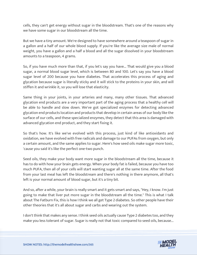cells, they can't get energy without sugar in the bloodstream. That's one of the reasons why we have some sugar in our bloodstream all the time.

But we have a tiny amount. We're designed to have somewhere around a teaspoon of sugar in a gallon and a half of our whole blood supply. If you're like the average size male of normal weight, you have a gallon and a half a blood and all the sugar dissolved in your bloodstream amounts to a teaspoon, 4 grams.

So, if you have much more than that, if you let's say you have... That would give you a blood sugar, a normal blood sugar level, which is between 80 and 100. Let's say you have a blood sugar level of 200 because you have diabetes. That accelerates this process of aging and glycation because sugar is literally sticky and it will stick to the proteins in your skin, and will stiffen it and wrinkle it, so you will lose that elasticity.

Same thing in your joints, in your arteries and many, many other tissues. That advanced glycation end products are a very important part of the aging process that a healthy cell will be able to handle and slow down. We've got specialized enzymes for detecting advanced glycation end products location and products that develop in certain areas of our body like the surface of our cells, and these specialized enzymes, they detect that this area is damaged with advanced glycation end product, and they start fixing it.

So that's how. It's like we've evolved with this process, just kind of like antioxidants and oxidation, we have evolved with free radicals and damage to our PUFAs from oxygen, but only a certain amount, and the same applies to sugar. Here's how seed oils make sugar more toxic, 'cause you said it's like the perfect one-two punch.

Seed oils, they make your body want more sugar in the bloodstream all the time, because it has to do with how your brain gets energy. When your body fat is failed, because you have too much PUFA, then all of your cells will start wanting sugar all at the same time. After the food from your last meal has left the bloodstream and there's nothing in there anymore, all that's left is your normal amount of blood sugar, but it's a tiny bit.

And so, after a while, your brain is really smart and it gets smart and says, "Hey, I know. I'm just going to make that liver put more sugar in the bloodstream all the time." This is what I talk about The Fatburn Fix, this is how I think we all get Type 2 diabetes. So other people have their other theories that it's all about sugar and carbs and wearing out the system.

I don't think that makes any sense. I think seed oils actually cause Type 2 diabetes too, and they make you less tolerant of sugar. Sugar is really not that toxic compared to seed oils, because...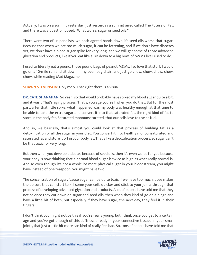Actually, I was on a summit yesterday, just yesterday a summit aired called The Future of Fat, and there was a question posed, "What worse, sugar or seed oils?"

There were two of us panelists, we both agreed hands down it's seed oils worse that sugar. Because that when we eat too much sugar, it can be fattening, and if we don't have diabetes yet, we don't have a blood sugar spike for very long, and we will get some of those advanced glycation end products, like if you eat like a, sit down to a big bowl of M&Ms like I used to do.

I used to literally eat a pound, those pound bags of peanut M&Ms. I so love that stuff. I would go on a 10-mile run and sit down in my bean bag chair, and just go chow, chow, chow, chow, chow, while reading Mad Magazine.

**SHAWN STEVENSON:** Holy moly. That right there is a visual.

**DR. CATE SHANAHAN:** So yeah, so that would probably have spiked my blood sugar quite a bit, and it was... That's aging process. That's, you age yourself when you do that. But for the most part, after that little spike, what happened was my body was healthy enough at that time to be able to take the extra sugar and convert it into that saturated fat, the right kind of fat to store in the body fat. Saturated monounsaturated, that our cells love to use as fuel.

And so, we basically, that's almost you could look at that process of building fat as a detoxification of all the sugar in your diet. You convert it into healthy monounsaturated and saturated fat and store it off in your body fat. That's like a detoxification process, so sugar can't be that toxic for very long.

But then when you develop diabetes because of seed oils, then it's even worse for you because your body is now thinking that a normal blood sugar is twice as high as what really normal is. And so even though it's not a whole lot more physical sugar in your bloodstream, you might have instead of one teaspoon, you might have two.

The concentration of sugar, 'cause sugar can be quite toxic if we have too much, dose makes the poison, that can start to kill some your cells quicker and stick to your joints through that process of developing advanced glycation end products. A lot of people have told me that they notice once they cut down on sugar and seed oils, then when they kind of go on a binge and have a little bit of both, but especially if they have sugar, the next day, they feel it in their fingers.

I don't think you might notice this if you're really young, but I think once you get to a certain age and you've got enough of this stiffness already in your connective tissues in your small joints, that just a little bit more can kind of really feel bad. So, tons of people have told me that

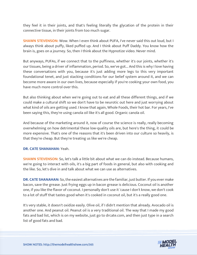they feel it in their joints, and that's feeling literally the glycation of the protein in their connective tissue, in their joints from too much sugar.

**SHAWN STEVENSON:** Wow. When I even think about PUFA, I've never said this out loud, but I always think about puffy, liked puffed up. And I think about Puff Daddy. You know how the brain is, goes on a journey. So, then I think about the Hypnotize video. Never mind.

But anyways, PUFAs, if we connect that to the puffiness, whether it's our joints, whether it's our tissues, being a driver of inflammation, period. So, we've got... And this is why I love having these conversations with you, because it's just adding more legs to this very important foundational tenet, and just stacking conditions for our belief system around it, and we can become more aware in our own lives, because especially if you're cooking your own food, you have much more control over this.

But also thinking about when we're going out to eat and all these different things, and if we could make a cultural shift so we don't have to be neurotic out here and just worrying about what kind of oils are getting used. I know that again, Whole Foods, their hot bar. For years, I've been saying this, they're using canola oil like it's all good. Organic canola oil.

And because of the marketing around it, now of course the science is really, really becoming overwhelming on how detrimental these low-quality oils are, but here's the thing, it could be more expensive. That's one of the reasons that it's been driven into our culture so heavily, is that they're cheap. But they're treating us like we're cheap.

### **DR. CATE SHANAHAN:** Yeah.

**SHAWN STEVENSON:** So, let's talk a little bit about what we can do instead. Because humans, we're going to interact with oils, it's a big part of foods in general, but also with cooking and the like. So, let's dive in and talk about what we can use as alternatives.

**DR. CATE SHANAHAN:** So, the easiest alternatives are the familiar, just butter. If you ever make bacon, save the grease. Just frying eggs up in bacon grease is delicious. Coconut oil is another one, if you like the flavor of coconut. I personally don't use it 'cause I don't know, we don't cook to a lot of stuff that tastes good when it's cooked in coconut oil, but it's a really good one.

It's very stable, it doesn't oxidize easily. Olive oil, if I didn't mention that already. Avocado oil is another one. And peanut oil. Peanut oil is a very traditional oil. The way that I made my good fats and bad list, which is on my website, just go to drcate.com, and then just type in a search list of good fats and bad.

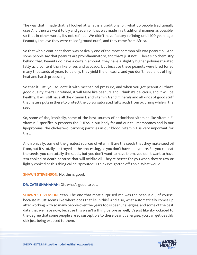The way that I made that is I looked at what is a traditional oil, what do people traditionally use? And then we want to try and get an oil that was made in a traditional manner as possible, so that in other words, it's not refined. We didn't have factory refining until 100 years ago. Peanuts, I believe they were called "ground nuts", and they came from Africa.

So that whole continent there was basically one of the most common oils was peanut oil. And some people say that peanuts are proinflammatory, and that's just not... There's no chemistry behind that. Peanuts do have a certain amount, they have a slightly higher polyunsaturated fatty acid content than like olives and avocado, but because these peanuts were bred for so many thousands of years to be oily, they yield the oil easily, and you don't need a lot of high heat and harsh processing.

So that it just, you squeeze it with mechanical pressure, and when you get peanut oil that's good quality, that's unrefined, it will taste like peanuts and I think it's delicious, and it will be healthy. It will still have all the vitamin E and vitamin A and minerals and all kinds of good stuff that nature puts in there to protect the polyunsaturated fatty acids from oxidizing while in the seed.

So, some of the, ironically, some of the best sources of antioxidant vitamins like vitamin E, vitamin E specifically protects the PUFAs in our body fat and our cell membranes and in our lipoproteins, the cholesterol carrying particles in our blood, vitamin E is very important for that.

And ironically, some of the greatest sources of vitamin E are the seeds that they make seed oil from, but it's totally destroyed in the processing, so you don't have it anymore. So, you can eat the seeds, you can totally the seeds, but you don't want to have them, you don't want to have 'em cooked to death because that will oxidize oil. They're better for you when they're raw or lightly cooked or this thing called "sprouted". I think I've gotten off-topic. What would...

**SHAWN STEVENSON:** No, this is good.

**DR. CATE SHANAHAN:** Oh, what's good to eat.

**SHAWN STEVENSON:** Yeah. The one that most surprised me was the peanut oil, of course, because it just seems like where does that lie in this? And also, what automatically comes up after working with so many people over the years too is peanut allergies, and some of the best data that we have now, because this wasn't a thing before as well, it's just like skyrocketed to the degree that some people are so susceptible to these peanut allergies, you can get deathly sick just being exposed to them.

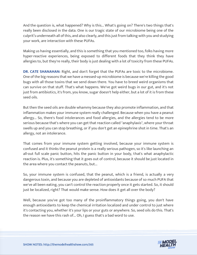And the question is, what happened? Why is this... What's going on? There's two things that's really been disclosed in the data. One is our tragic state of our microbiome being one of the culprit's underneath all of this, and also clearly, and this just from talking with you and studying your work, are interaction with these PUFAs.

Making us having essentially, and this is something that you mentioned too, folks having more hyper-reactive experiences, being exposed to different foods that they think they have allergies to, but they're really, their body is just dealing with a lot of toxicity from these PUFAs.

**DR. CATE SHANAHAN:** Right, and don't forget that the PUFAs are toxic to the microbiome. One of the big reasons that we have a messed-up microbiome is because we're killing the good bugs with all those toxins that we send down there. You have to breed weird organisms that can survive on that stuff. That's what happens. We've got weird bugs in our gut, and it's not just from antibiotics, it's from, you know, sugar doesn't help either, but a lot of it is from these seed oils.

But then the seed oils are double whammy because they also promote inflammation, and that inflammation makes your immune system really challenged. Because when you have a peanut allergy... So, there's food intolerances and food allergies, and the allergies tend to be more serious because that's where you can get that reaction called "anaphylaxis", where your throat swells up and you can stop breathing, or if you don't get an epinephrine shot in time. That's an allergy, not an intolerance.

That comes from your immune system getting involved, because your immune system is confused and it thinks the peanut protein is a really serious pathogen, so it's like launching an all-out full scale panic button, hits the panic button in your body, that's what anaphylactic reaction is. Plus, it's something that it goes out of control, because it should be just located in the area where you contact the peanuts, but...

So, your immune system is confused, that the peanut, which is a friend, is actually a very dangerous toxin, and because you are depleted of antioxidants because of so much PUFA that we've all been eating, you can't control the reaction properly once it gets started. So, it should just be localized, right? That would make sense. How does it get all over the body?

Well, because you've got too many of the proinflammatory things going, you don't have enough antioxidants to keep the chemical irritation localized and under control to just where it's contacting you, whether it's your lips or your guts or anywhere. So, seed oils do this. That's the reason we have this rash of... Oh, I guess that's a bad word to use.

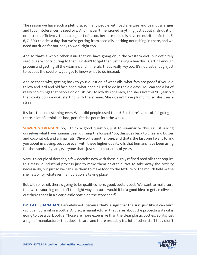The reason we have such a plethora, so many people with bad allergies and peanut allergies and food intolerances is seed oils. And I haven't mentioned anything just about malnutrition or nutrient efficiency, that's a big part of it too, because seed oils have no nutrition. So that 5, 6, 7, 800 calories a day that we're getting from seed oils, nothing nourishing in there, and we need nutrition for our body to work right too.

And so that's a whole other issue that we have going on in the Western diet, but definitely seed oils are contributing to that. But don't forget that just having a healthy... Getting enough protein and getting all the vitamins and minerals, that's really key too. It's not just enough just to cut out the seed oils, you got to know what to do instead.

And so that's why, getting back to your question of what oils, what fats are good? If you did tallow and lard and old fashioned, what people used to do in the old days. You can see a lot of really cool things that people do on TikTok. I follow this one lady, and she's like this 90-year-old that cooks up in a wok, starting with the stream. She doesn't have plumbing, so she uses a stream.

It's just the coolest thing ever. What did people used to do? But there's a lot of fat going in there, a lot of, I think it's lard, pork fat she pours into the woks.

**SHAWN STEVENSON:** So, I think a good question, just to summarize this, is just asking ourselves what have humans been utilizing the longest? So, this goes back to ghee and butter and coconut oil, and animal fats. Olive oil is another one, and that's the last one I want to ask you about in closing, because even with these higher quality oils that humans have been using for thousands of years, everyone that I just said, thousands of years.

Versus a couple of decades, a few decades now with these highly refined seed oils that require this massive industrial process just to make them palatable. Not to take away the toxicity necessarily, but just so we can use them to make food to the texture or the mouth field or the shelf stability, whatever manipulation is taking place.

But with olive oil, there's going to be qualities here, good, better, best. We want to make sure that we're sourcing our stuff the right way, because would it be a good idea to get an olive oil out there that's in a clear plastic bottle on the store shelf?

**DR. CATE SHANAHAN:** Definitely not, because that's a sign that the sun, just like it can burn us, it can burn oil in a bottle. And so, a manufacturer that cares about the protecting its oil is going to use a dark bottle. Those are more expensive than the clear plastic bottles. So, it's just a sign of manufacturer that doesn't care, and there probably is a lot of other stuff they didn't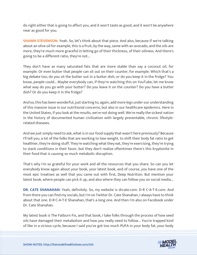do right either that is going to affect you, and it won't taste as good, and it won't be anywhere near as good for you.

**SHAWN STEVENSON:** Yeah. So, let's think about that piece. And also, because if we're talking about an olive oil for example, this is a fruit, by the way, same with an avocado, and the oils are more, they're much more graceful in letting go of their thickness, of their oiliness. And there's going to be a different ratio, they're not...

They don't have as many saturated fats that are more stable than say a coconut oil, for example. Or even butter that people can sit out on their counter, for example. Which that's a big debate too, do you sit the butter out in a butter dish, or do you keep it in the fridge? You know, people could... Maybe everybody can, if they're watching this on YouTube, let me know what way do you go with your butter? Do you leave it on the counter? Do you have a butter dish? Or do you keep it in the fridge?

And so, this has been wonderful, just starting to, again, add more legs under our understanding of this massive issue in our nutritional concerns, but also in our healthcare epidemics. Here in the United States, if you look at the results, we're not doing well. We're really the sickest nation in the history of documented human civilization with largely preventable, chronic lifestylerelated diseases.

And we just simply need to ask, what is in our food supply that wasn't here previously? Because I'll tell you, a lot of the folks that are working to lose weight, to shift their body fat ratio to get healthier, they're doing stuff. They're watching what they eat, they're exercising, they're trying to stack conditions in their favor, but they don't realize oftentimes there's this kryptonite in their food that is causing so much metabolic disruption.

That's why I'm so grateful for your work and all the resources that you share. So can you let everybody know again about your book, your latest book, and of course, you have one of the most epic treatises as well that you came out with first, Deep Nutrition. But mention your latest book, where people can pick it up, and also where they can follow you on social media...

**DR. CATE SHANAHAN:** Yeah, definitely. So, my website is drcate.com. D-R C-A-T-E.com. And from there you can find my socials, but I'm on Twitter Dr. Cate Shanahan, I always have to think about that one. D-R C-A-T-E Shanahan, that's a long one. And then I'm also on Facebook under Dr. Cate Shanahan.

My latest book is The Fatburn Fix, and that book, I take folks through the process of how seed oils have damaged their metabolism and how you really need to follow... You're trapped kind of like in a vicious cycle, because I said you've got too much PUFA in your body fat, your body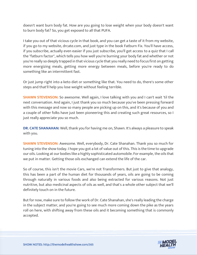doesn't want burn body fat. How are you going to lose weight when your body doesn't want to burn body fat? So, you get exposed to all that PUFA.

I take you out of that vicious cycle in that book, and you can get a taste of it from my website, if you go to my website, drcate.com, and just type in the book Fatburn Fix. You'll have access, if you subscribe, actually even easier if you just subscribe, you'll get access to a quiz that I call the "fatburn factor", which tells you how well you're burning your body fat and whether or not you're really so deeply trapped in that vicious cycle that you really need to focus first on getting more energizing meals, getting more energy between meals, before you're ready to do something like an intermittent fast.

Or just jump right into a keto diet or something like that. You need to do, there's some other steps and that'll help you lose weight without feeling terrible.

**SHAWN STEVENSON:** So awesome. Well again, I love talking with you and I can't wait 'til the next conversation. And again, I just thank you so much because you've been pressing forward with this message and now so many people are picking up on this, and it's because of you and a couple of other folks have just been pioneering this and creating such great resources, so I just really appreciate you so much.

**DR. CATE SHANAHAN:** Well, thank you for having me on, Shawn. It's always a pleasure to speak with you.

**SHAWN STEVENSON:** Awesome. Well, everybody, Dr. Cate Shanahan. Thank you so much for tuning into the show today. I hope you got a lot of value out of this. This is the time to upgrade our oils. Looking at our bodies like a highly sophisticated automobile. For example, the oils that we put in matter. Getting those oils exchanged can extend the life of the car.

So of course, this isn't the movie Cars, we're not Transformers. But just to give that analogy, this has been a part of the human diet for thousands of years, oils are going to be coming through naturally in various foods and also being extracted for various reasons. Not just nutritive, but also medicinal aspects of oils as well, and that's a whole other subject that we'll definitely touch on in the future.

But for now, make sure to follow the work of Dr. Cate Shanahan, she's really leading the charge in the subject matter, and you're going to see much more coming down the pike as the years roll on here, with shifting away from these oils and it becoming something that is commonly accepted.